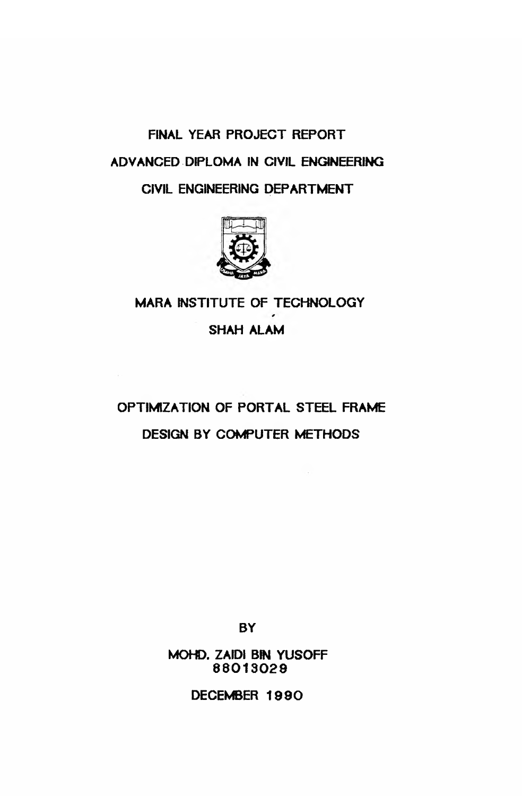# **FINAL YEAR PROJECT REPORT ADVANCED DIPLOMA IN CIVIL ENGINEERING** CIVIL ENGINEERING DEPARTMENT



## **MARA INSTITUTE OF TECHNOLOGY**

SHAH ALAM

## **OPTIMIZATION OF PORTAL STEEL FRAME DESIGN BY COMPUTER METHODS**

**BY**

**MOHD. ZAIDI BIN YUSOFF 88013029**

**DECEMBER 1990**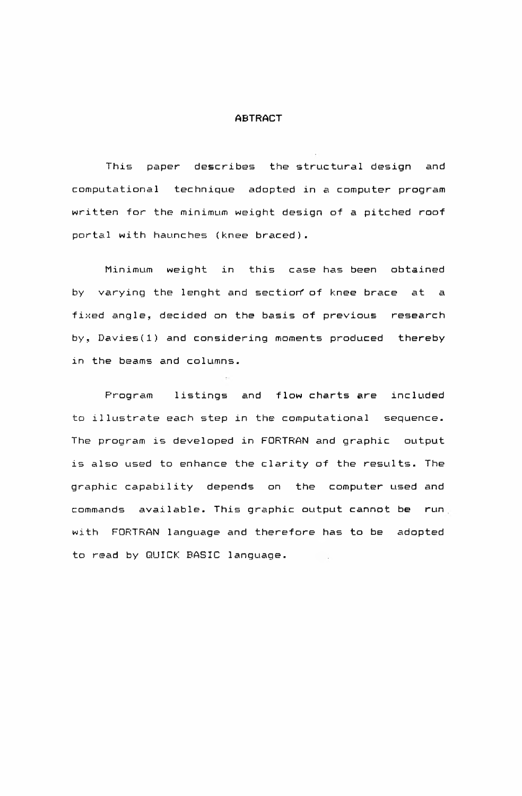#### **ABTRACT**

This paper describes the structural design and computational technique adopted in a computer program written for the minimum weight design of a pitched roof portal with haunches (knee braced).

Minimum weight in this case-has-been obtained by varying the lenght and section of knee brace at a fixed angle, decided on the basis of previous research by, Davies (1) and considering moments produced thereby in the beams and columns.

Program listings and flow charts are included to illustrate each step in the computational sequence. The program is developed in FORTRAN and graphic output is also used to enhance the clarity of the results. The graphic capability depends on the computer used and commands available. This graphic output cannot be run with FORTRAN language and therefore has to be adopted to read by QUICK BASIC language. **Contract**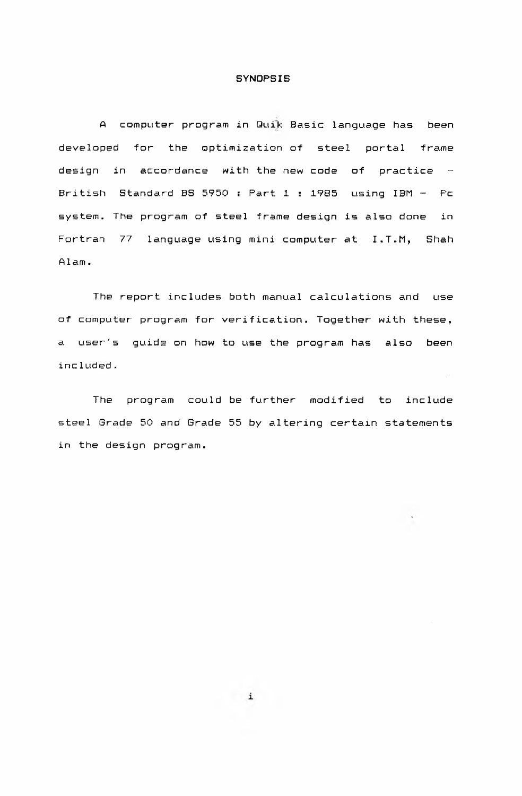#### SYNOPSIS

A computer program in Quik Basic language has been developed for the optimization of steel portal frame design in accordance with the new code of practice  $-$ British Standard BS 5950 : Part 1 : 1985 using  $IBM - Pc$ system. The program of steel frame design is also done in Fortran 77 language using mini computer at I.T.M, Shah  $A$ lam.

The report includes both manual calculations and use of computer program for verification. Together with these, a user's guide on how to use the program has also been included.

 $\sim$ 

The program could be further modified to include steel Grade 50 and Grade 55 by altering certain statements in the design program.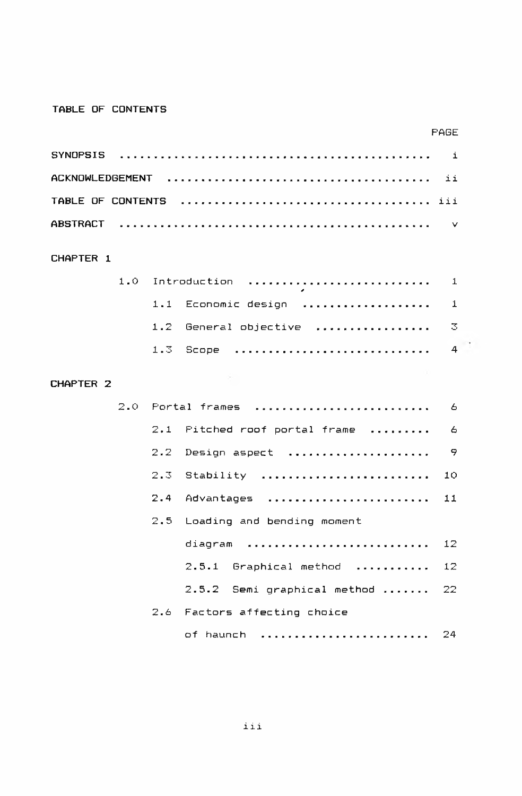### TABLE OF CONTENTS

|                        |     |     |                                | <b>FAGE</b> |
|------------------------|-----|-----|--------------------------------|-------------|
| <b>SYNOPSIS</b>        |     |     |                                | i           |
| <b>ACKNOWLEDGEMENT</b> |     |     |                                | ii          |
| TABLE OF CONTENTS      |     |     |                                |             |
| <b>ABSTRACT</b>        |     |     |                                | $\vee$      |
| CHAPTER 1              |     |     |                                |             |
|                        | 1.0 |     | Introduction                   | 1           |
|                        |     | 1.1 | Economic design                | $\mathbf 1$ |
|                        |     | 1.2 | General objective<br>.         | 3           |
|                        |     | 1.3 | Scope                          | 4           |
| CHAPTER 2              |     |     |                                |             |
|                        | 2.0 |     | Portal frames                  | 6           |
|                        |     | 2.1 | Pitched roof portal frame      | 6           |
|                        |     | 2.2 | Design aspect                  | 9           |
|                        |     | 2.3 | Stability                      | 10          |
|                        |     | 2.4 | Advantages                     | 11          |
|                        |     | 2.5 | Loading and bending moment     |             |
|                        |     |     | diagram                        | 12          |
|                        |     |     | 2.5.1 Graphical method         | 12          |
|                        |     |     | Semi graphical method<br>2.5.2 | 22          |
|                        |     | 2.6 | Factors affecting choice       |             |
|                        |     |     | of haunch                      | 24          |